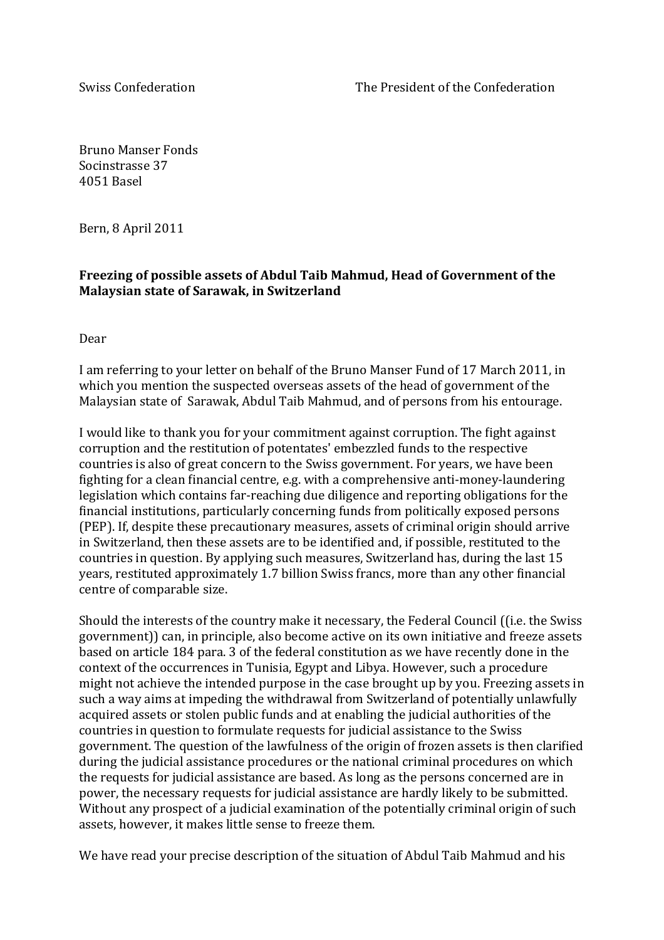Bruno Manser Fonds Socinstrasse 37 4051 Basel

Bern, 8 April 2011

## Freezing of possible assets of Abdul Taib Mahmud, Head of Government of the **Malaysian state of Sarawak, in Switzerland**

Dear!

I am referring to your letter on behalf of the Bruno Manser Fund of 17 March 2011, in which you mention the suspected overseas assets of the head of government of the Malaysian state of Sarawak, Abdul Taib Mahmud, and of persons from his entourage.

I would like to thank you for your commitment against corruption. The fight against corruption and the restitution of potentates' embezzled funds to the respective countries is also of great concern to the Swiss government. For years, we have been fighting for a clean financial centre, e.g. with a comprehensive anti-money-laundering legislation which contains far-reaching due diligence and reporting obligations for the financial institutions, particularly concerning funds from politically exposed persons (PEP). If, despite these precautionary measures, assets of criminal origin should arrive in Switzerland, then these assets are to be identified and, if possible, restituted to the countries in question. By applying such measures, Switzerland has, during the last 15 years, restituted approximately 1.7 billion Swiss francs, more than any other financial centre of comparable size.

Should the interests of the country make it necessary, the Federal Council ((i.e. the Swiss government)) can, in principle, also become active on its own initiative and freeze assets based on article 184 para. 3 of the federal constitution as we have recently done in the context of the occurrences in Tunisia, Egypt and Libya. However, such a procedure might not achieve the intended purpose in the case brought up by you. Freezing assets in such a way aims at impeding the withdrawal from Switzerland of potentially unlawfully acquired assets or stolen public funds and at enabling the judicial authorities of the countries in question to formulate requests for judicial assistance to the Swiss government. The question of the lawfulness of the origin of frozen assets is then clarified during the judicial assistance procedures or the national criminal procedures on which the requests for judicial assistance are based. As long as the persons concerned are in power, the necessary requests for judicial assistance are hardly likely to be submitted. Without any prospect of a judicial examination of the potentially criminal origin of such assets, however, it makes little sense to freeze them.

We have read your precise description of the situation of Abdul Taib Mahmud and his